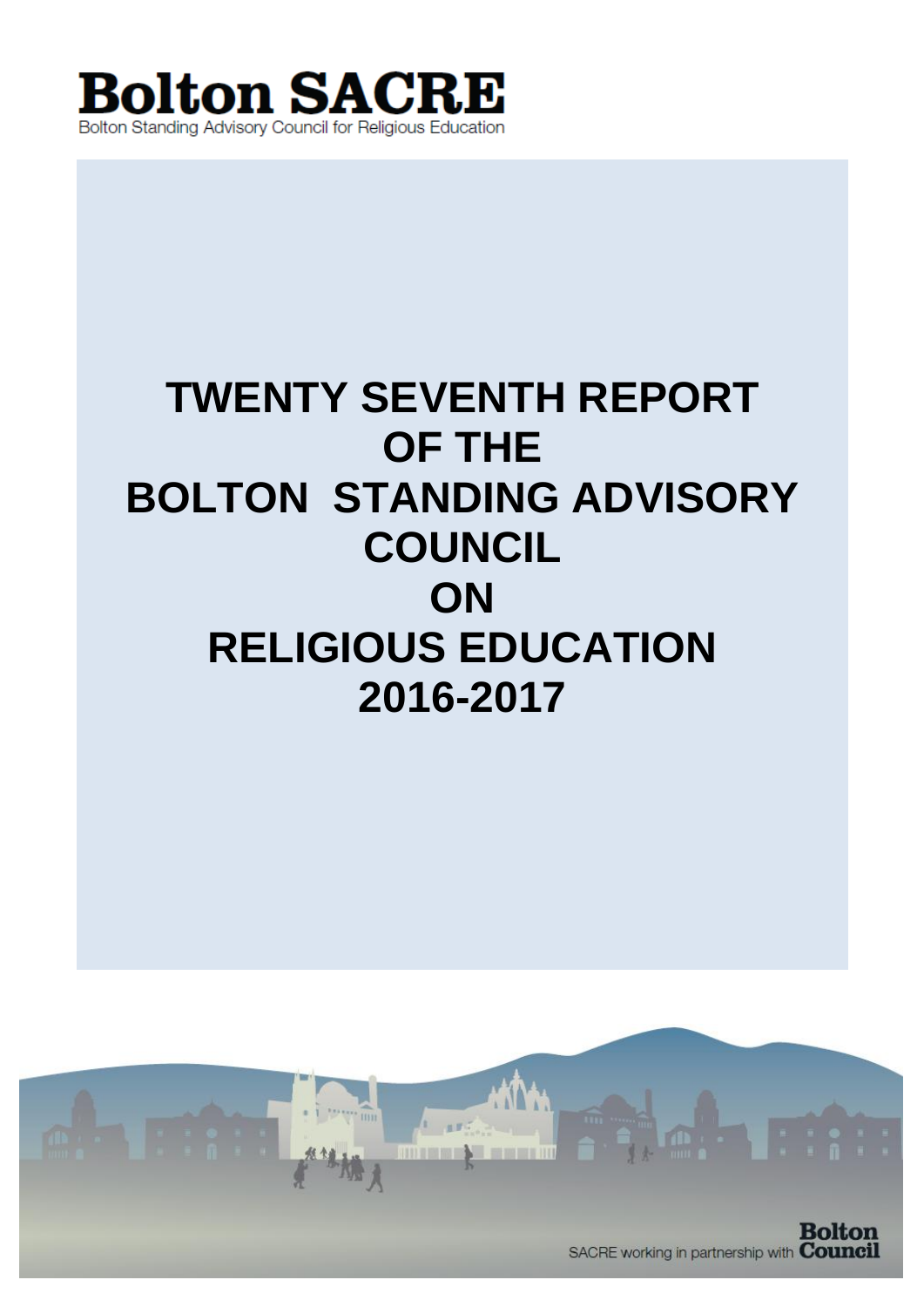

# **TWENTY SEVENTH REPORT OF THE BOLTON STANDING ADVISORY COUNCIL ON RELIGIOUS EDUCATION 2016-2017**

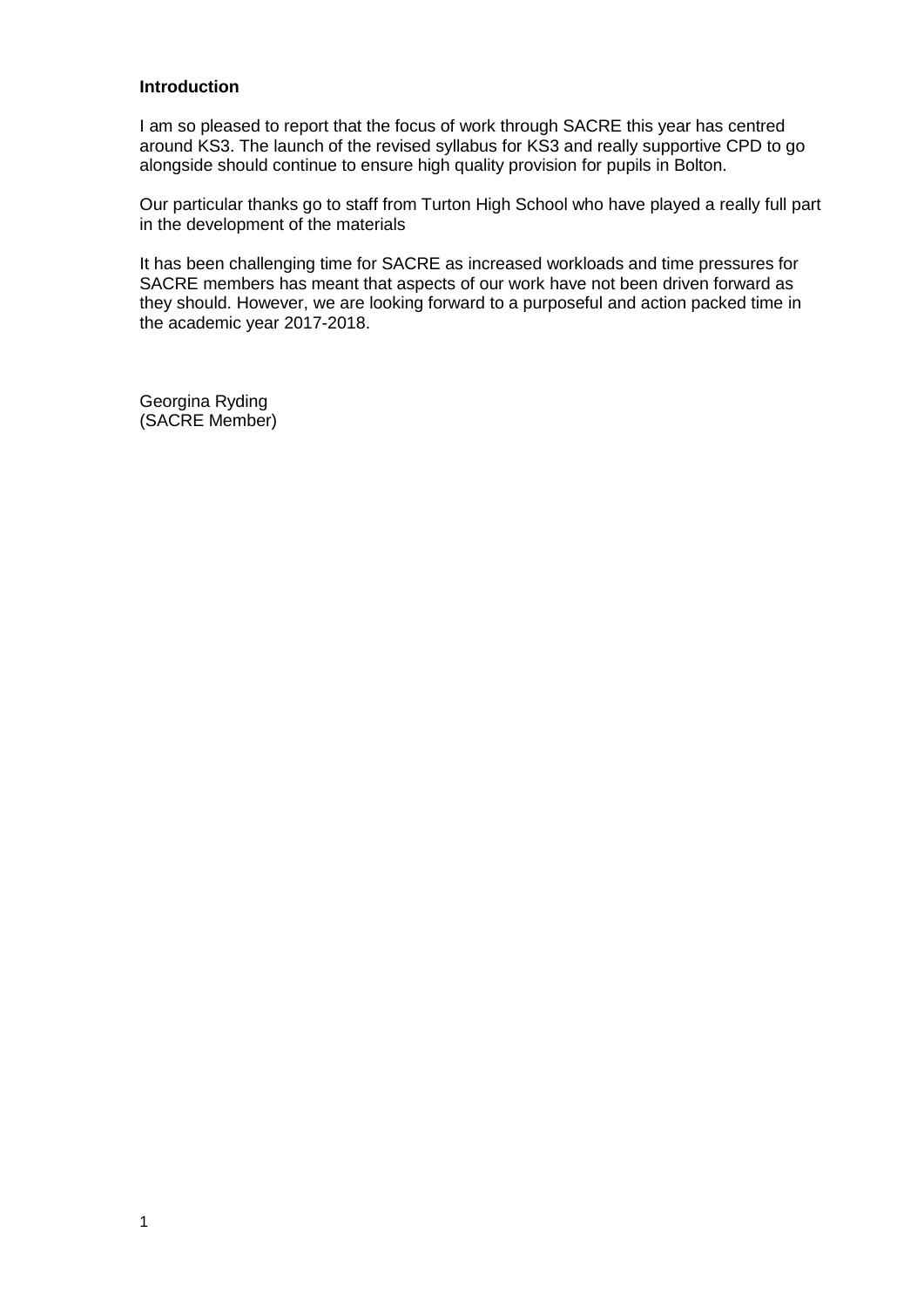#### **Introduction**

I am so pleased to report that the focus of work through SACRE this year has centred around KS3. The launch of the revised syllabus for KS3 and really supportive CPD to go alongside should continue to ensure high quality provision for pupils in Bolton.

Our particular thanks go to staff from Turton High School who have played a really full part in the development of the materials

It has been challenging time for SACRE as increased workloads and time pressures for SACRE members has meant that aspects of our work have not been driven forward as they should. However, we are looking forward to a purposeful and action packed time in the academic year 2017-2018.

Georgina Ryding (SACRE Member)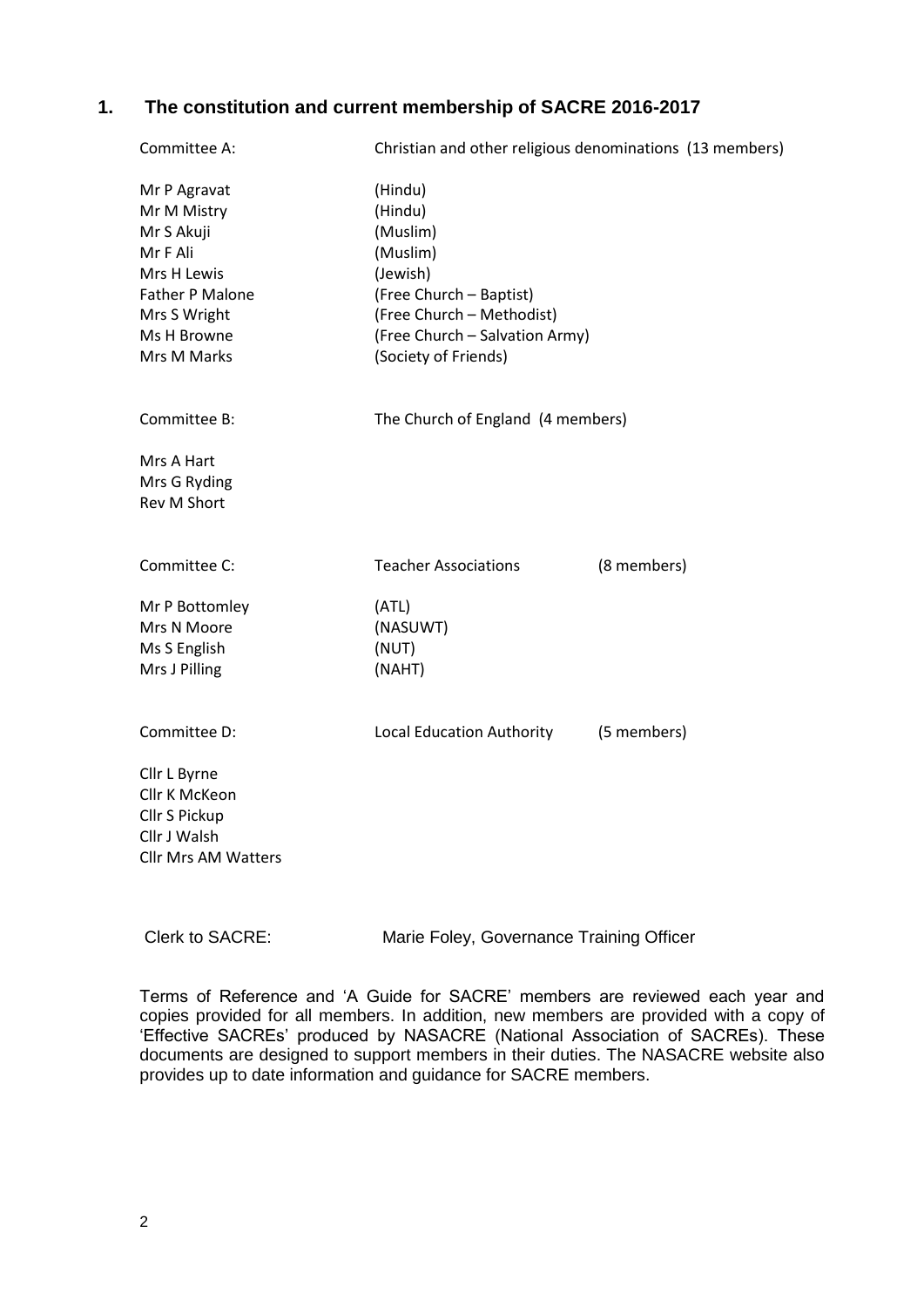## **1. The constitution and current membership of SACRE 2016-2017**

| Committee A:                                                                                                                          | Christian and other religious denominations (13 members)                                                                                                                 |             |
|---------------------------------------------------------------------------------------------------------------------------------------|--------------------------------------------------------------------------------------------------------------------------------------------------------------------------|-------------|
| Mr P Agravat<br>Mr M Mistry<br>Mr S Akuji<br>Mr F Ali<br>Mrs H Lewis<br>Father P Malone<br>Mrs S Wright<br>Ms H Browne<br>Mrs M Marks | (Hindu)<br>(Hindu)<br>(Muslim)<br>(Muslim)<br>(Jewish)<br>(Free Church - Baptist)<br>(Free Church - Methodist)<br>(Free Church - Salvation Army)<br>(Society of Friends) |             |
| Committee B:                                                                                                                          | The Church of England (4 members)                                                                                                                                        |             |
| Mrs A Hart<br>Mrs G Ryding<br>Rev M Short                                                                                             |                                                                                                                                                                          |             |
| Committee C:                                                                                                                          | <b>Teacher Associations</b>                                                                                                                                              | (8 members) |
| Mr P Bottomley<br>Mrs N Moore<br>Ms S English<br>Mrs J Pilling                                                                        | (ATL)<br>(NASUWT)<br>(NUT)<br>(NAHT)                                                                                                                                     |             |
| Committee D:                                                                                                                          | Local Education Authority                                                                                                                                                | (5 members) |
| Cllr L Byrne<br>Cllr K McKeon<br>Cllr S Pickup<br>Cllr J Walsh<br><b>Cllr Mrs AM Watters</b>                                          |                                                                                                                                                                          |             |

Clerk to SACRE: Marie Foley, Governance Training Officer

Terms of Reference and 'A Guide for SACRE' members are reviewed each year and copies provided for all members. In addition, new members are provided with a copy of 'Effective SACREs' produced by NASACRE (National Association of SACREs). These documents are designed to support members in their duties. The NASACRE website also provides up to date information and guidance for SACRE members.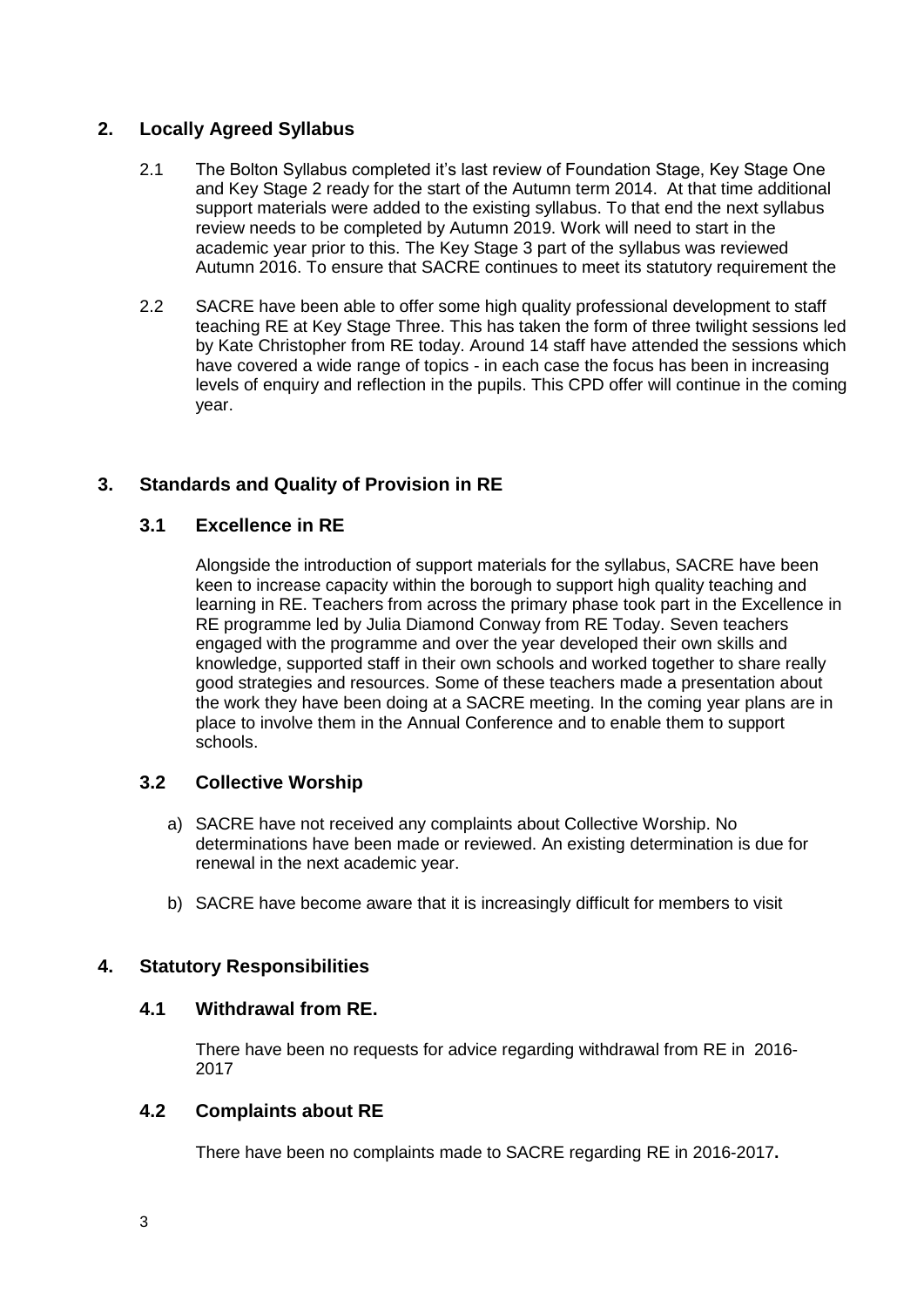## **2. Locally Agreed Syllabus**

- 2.1 The Bolton Syllabus completed it's last review of Foundation Stage, Key Stage One and Key Stage 2 ready for the start of the Autumn term 2014. At that time additional support materials were added to the existing syllabus. To that end the next syllabus review needs to be completed by Autumn 2019. Work will need to start in the academic year prior to this. The Key Stage 3 part of the syllabus was reviewed Autumn 2016. To ensure that SACRE continues to meet its statutory requirement the
- 2.2 SACRE have been able to offer some high quality professional development to staff teaching RE at Key Stage Three. This has taken the form of three twilight sessions led by Kate Christopher from RE today. Around 14 staff have attended the sessions which have covered a wide range of topics - in each case the focus has been in increasing levels of enquiry and reflection in the pupils. This CPD offer will continue in the coming year.

# **3. Standards and Quality of Provision in RE**

## **3.1 Excellence in RE**

Alongside the introduction of support materials for the syllabus, SACRE have been keen to increase capacity within the borough to support high quality teaching and learning in RE. Teachers from across the primary phase took part in the Excellence in RE programme led by Julia Diamond Conway from RE Today. Seven teachers engaged with the programme and over the year developed their own skills and knowledge, supported staff in their own schools and worked together to share really good strategies and resources. Some of these teachers made a presentation about the work they have been doing at a SACRE meeting. In the coming year plans are in place to involve them in the Annual Conference and to enable them to support schools.

# **3.2 Collective Worship**

- a) SACRE have not received any complaints about Collective Worship. No determinations have been made or reviewed. An existing determination is due for renewal in the next academic year.
- b) SACRE have become aware that it is increasingly difficult for members to visit

## **4. Statutory Responsibilities**

## **4.1 Withdrawal from RE.**

There have been no requests for advice regarding withdrawal from RE in 2016- 2017

## **4.2 Complaints about RE**

There have been no complaints made to SACRE regarding RE in 2016-2017**.**